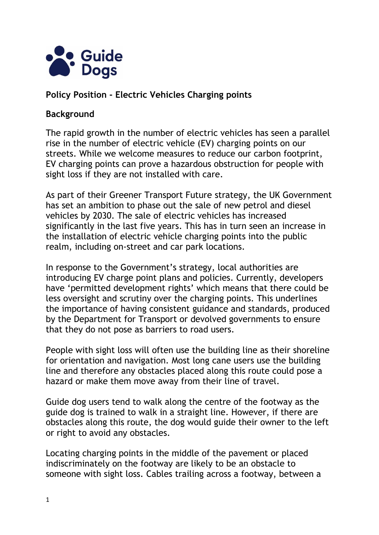

## **Policy Position - Electric Vehicles Charging points**

#### **Background**

The rapid growth in the number of electric vehicles has seen a parallel rise in the number of electric vehicle (EV) charging points on our streets. While we welcome measures to reduce our carbon footprint, EV charging points can prove a hazardous obstruction for people with sight loss if they are not installed with care.

As part of their Greener Transport Future strategy, the UK Government has set an ambition to phase out the sale of new petrol and diesel vehicles by 2030. The sale of electric vehicles has increased significantly in the last five years. This has in turn seen an increase in the installation of electric vehicle charging points into the public realm, including on-street and car park locations.

In response to the Government's strategy, local authorities are introducing EV charge point plans and policies. Currently, developers have 'permitted development rights' which means that there could be less oversight and scrutiny over the charging points. This underlines the importance of having consistent guidance and standards, produced by the Department for Transport or devolved governments to ensure that they do not pose as barriers to road users.

People with sight loss will often use the building line as their shoreline for orientation and navigation. Most long cane users use the building line and therefore any obstacles placed along this route could pose a hazard or make them move away from their line of travel.

Guide dog users tend to walk along the centre of the footway as the guide dog is trained to walk in a straight line. However, if there are obstacles along this route, the dog would guide their owner to the left or right to avoid any obstacles.

Locating charging points in the middle of the pavement or placed indiscriminately on the footway are likely to be an obstacle to someone with sight loss. Cables trailing across a footway, between a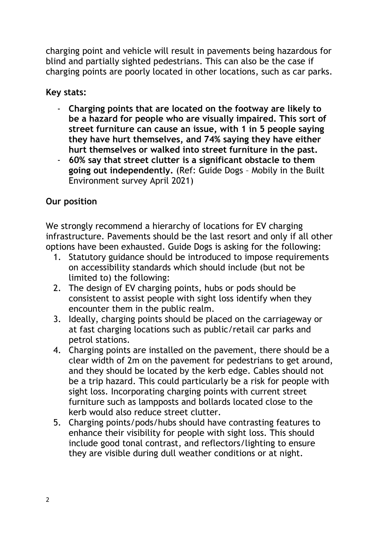charging point and vehicle will result in pavements being hazardous for blind and partially sighted pedestrians. This can also be the case if charging points are poorly located in other locations, such as car parks.

**Key stats:** 

- **Charging points that are located on the footway are likely to be a hazard for people who are visually impaired. This sort of street furniture can cause an issue, with 1 in 5 people saying they have hurt themselves, and 74% saying they have either hurt themselves or walked into street furniture in the past.**
- **60% say that street clutter is a significant obstacle to them going out independently.** (Ref: Guide Dogs – Mobily in the Built Environment survey April 2021)

# **Our position**

We strongly recommend a hierarchy of locations for EV charging infrastructure. Pavements should be the last resort and only if all other options have been exhausted. Guide Dogs is asking for the following:

- 1. Statutory guidance should be introduced to impose requirements on accessibility standards which should include (but not be limited to) the following:
- 2. The design of EV charging points, hubs or pods should be consistent to assist people with sight loss identify when they encounter them in the public realm.
- 3. Ideally, charging points should be placed on the carriageway or at fast charging locations such as public/retail car parks and petrol stations.
- 4. Charging points are installed on the pavement, there should be a clear width of 2m on the pavement for pedestrians to get around, and they should be located by the kerb edge. Cables should not be a trip hazard. This could particularly be a risk for people with sight loss. Incorporating charging points with current street furniture such as lampposts and bollards located close to the kerb would also reduce street clutter.
- 5. Charging points/pods/hubs should have contrasting features to enhance their visibility for people with sight loss. This should include good tonal contrast, and reflectors/lighting to ensure they are visible during dull weather conditions or at night.